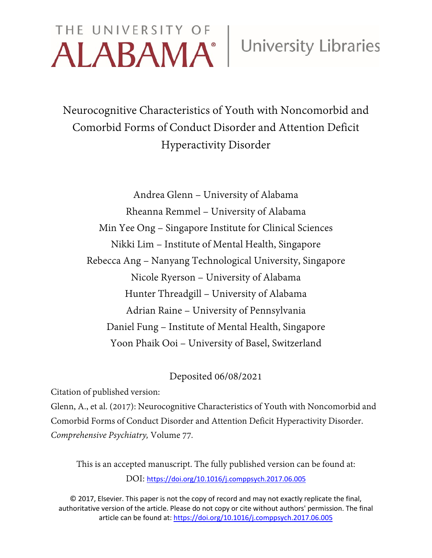# THE UNIVERSITY OF ALABAMA<sup>®</sup> University Libraries

Neurocognitive Characteristics of Youth with Noncomorbid and Comorbid Forms of Conduct Disorder and Attention Deficit Hyperactivity Disorder

Andrea Glenn – University of Alabama Rheanna Remmel – University of Alabama Min Yee Ong – Singapore Institute for Clinical Sciences Nikki Lim – Institute of Mental Health, Singapore Rebecca Ang – Nanyang Technological University, Singapore Nicole Ryerson – University of Alabama Hunter Threadgill – University of Alabama Adrian Raine – University of Pennsylvania Daniel Fung – Institute of Mental Health, Singapore Yoon Phaik Ooi – University of Basel, Switzerland

# Deposited 06/08/2021

Citation of published version:

Glenn, A., et al. (2017): Neurocognitive Characteristics of Youth with Noncomorbid and Comorbid Forms of Conduct Disorder and Attention Deficit Hyperactivity Disorder. *Comprehensive Psychiatry,* Volume 77*.*

This is an accepted manuscript. The fully published version can be found at: DOI: <https://doi.org/10.1016/j.comppsych.2017.06.005>

© 2017, Elsevier. This paper is not the copy of record and may not exactly replicate the final, authoritative version of the article. Please do not copy or cite without authors' permission. The final article can be found at:<https://doi.org/10.1016/j.comppsych.2017.06.005>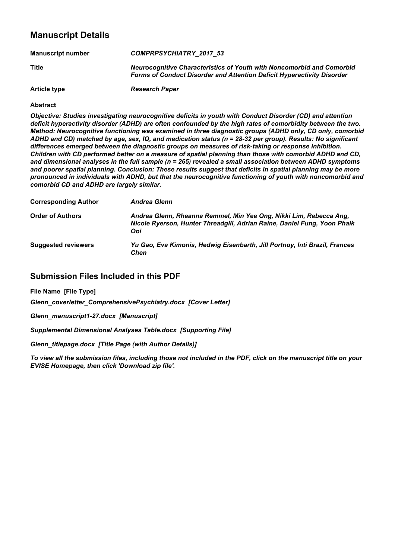# **Manuscript Details**

| <b>Manuscript number</b> | <b>COMPRPSYCHIATRY 2017 53</b>                                                                                                                         |
|--------------------------|--------------------------------------------------------------------------------------------------------------------------------------------------------|
| <b>Title</b>             | <b>Neurocognitive Characteristics of Youth with Noncomorbid and Comorbid</b><br>Forms of Conduct Disorder and Attention Deficit Hyperactivity Disorder |
| <b>Article type</b>      | <b>Research Paper</b>                                                                                                                                  |

#### **Abstract**

*Objective: Studies investigating neurocognitive deficits in youth with Conduct Disorder (CD) and attention deficit hyperactivity disorder (ADHD) are often confounded by the high rates of comorbidity between the two. Method: Neurocognitive functioning was examined in three diagnostic groups (ADHD only, CD only, comorbid* ADHD and CD) matched by age, sex, IQ, and medication status (n = 28-32 per group). Results: No significant *differences emerged between the diagnostic groups on measures of risk-taking or response inhibition.* Children with CD performed better on a measure of spatial planning than those with comorbid ADHD and CD, *and dimensional analyses in the full sample (n = 265) revealed a small association between ADHD symptoms and poorer spatial planning. Conclusion: These results suggest that deficits in spatial planning may be more pronounced in individuals with ADHD, but that the neurocognitive functioning of youth with noncomorbid and comorbid CD and ADHD are largely similar.*

| <b>Corresponding Author</b> | Andrea Glenn                                                                                                                                          |
|-----------------------------|-------------------------------------------------------------------------------------------------------------------------------------------------------|
| <b>Order of Authors</b>     | Andrea Glenn, Rheanna Remmel, Min Yee Ong, Nikki Lim, Rebecca Ang,<br>Nicole Ryerson, Hunter Threadgill, Adrian Raine, Daniel Fung, Yoon Phaik<br>Ooi |
| <b>Suggested reviewers</b>  | Yu Gao, Eva Kimonis, Hedwig Eisenbarth, Jill Portnoy, Inti Brazil, Frances<br>Chen                                                                    |

### **Submission Files Included in this PDF**

**File Name [File Type]**

*Glenn\_coverletter\_ComprehensivePsychiatry.docx [Cover Letter]*

*Glenn\_manuscript1-27.docx [Manuscript]*

*Supplemental Dimensional Analyses Table.docx [Supporting File]*

*Glenn\_titlepage.docx [Title Page (with Author Details)]*

To view all the submission files, including those not included in the PDF, click on the manuscript title on your *EVISE Homepage, then click 'Download zip file'.*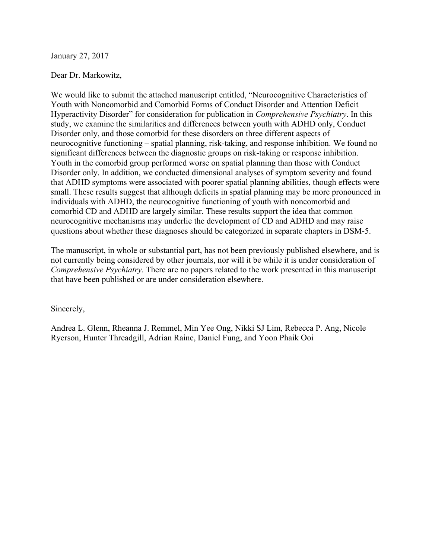January 27, 2017

#### Dear Dr. Markowitz,

We would like to submit the attached manuscript entitled, "Neurocognitive Characteristics of Youth with Noncomorbid and Comorbid Forms of Conduct Disorder and Attention Deficit Hyperactivity Disorder" for consideration for publication in *Comprehensive Psychiatry*. In this study, we examine the similarities and differences between youth with ADHD only, Conduct Disorder only, and those comorbid for these disorders on three different aspects of neurocognitive functioning – spatial planning, risk-taking, and response inhibition. We found no significant differences between the diagnostic groups on risk-taking or response inhibition. Youth in the comorbid group performed worse on spatial planning than those with Conduct Disorder only. In addition, we conducted dimensional analyses of symptom severity and found that ADHD symptoms were associated with poorer spatial planning abilities, though effects were small. These results suggest that although deficits in spatial planning may be more pronounced in individuals with ADHD, the neurocognitive functioning of youth with noncomorbid and comorbid CD and ADHD are largely similar. These results support the idea that common neurocognitive mechanisms may underlie the development of CD and ADHD and may raise questions about whether these diagnoses should be categorized in separate chapters in DSM-5.

The manuscript, in whole or substantial part, has not been previously published elsewhere, and is not currently being considered by other journals, nor will it be while it is under consideration of *Comprehensive Psychiatry*. There are no papers related to the work presented in this manuscript that have been published or are under consideration elsewhere.

Sincerely,

Andrea L. Glenn, Rheanna J. Remmel, Min Yee Ong, Nikki SJ Lim, Rebecca P. Ang, Nicole Ryerson, Hunter Threadgill, Adrian Raine, Daniel Fung, and Yoon Phaik Ooi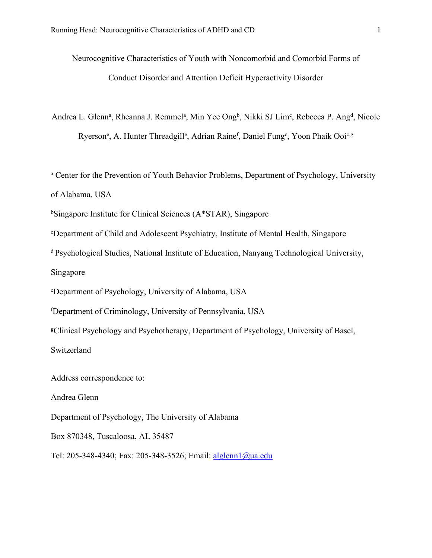Neurocognitive Characteristics of Youth with Noncomorbid and Comorbid Forms of Conduct Disorder and Attention Deficit Hyperactivity Disorder

Andrea L. Glenn<sup>a</sup>, Rheanna J. Remmel<sup>a</sup>, Min Yee Ong<sup>b</sup>, Nikki SJ Lim<sup>c</sup>, Rebecca P. Ang<sup>d</sup>, Nicole Ryerson<sup>e</sup>, A. Hunter Threadgill<sup>e</sup>, Adrian Raine<sup>f</sup>, Daniel Fung<sup>c</sup>, Yoon Phaik Ooi<sup>c,g</sup>

<sup>a</sup> Center for the Prevention of Youth Behavior Problems, Department of Psychology, University of Alabama, USA

<sup>b</sup>Singapore Institute for Clinical Sciences (A\*STAR), Singapore

<sup>c</sup>Department of Child and Adolescent Psychiatry, Institute of Mental Health, Singapore

<sup>d</sup> Psychological Studies, National Institute of Education, Nanyang Technological University,

Singapore

<sup>e</sup>Department of Psychology, University of Alabama, USA

<sup>f</sup>Department of Criminology, University of Pennsylvania, USA

<sup>g</sup>Clinical Psychology and Psychotherapy, Department of Psychology, University of Basel,

Switzerland

Address correspondence to:

Andrea Glenn

Department of Psychology, The University of Alabama

Box 870348, Tuscaloosa, AL 35487

Tel: 205-348-4340; Fax: 205-348-3526; Email: [alglenn1@ua.edu](mailto:alglenn1@ua.edu)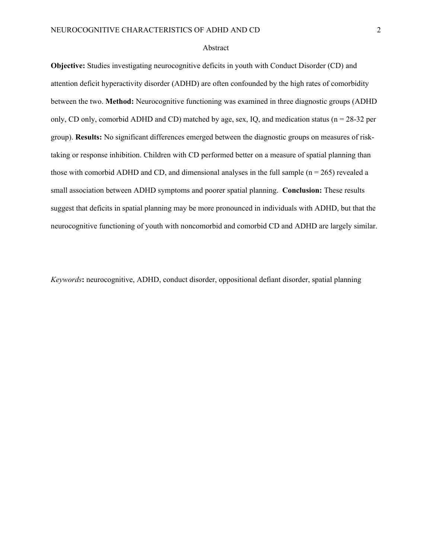#### Abstract

**Objective:** Studies investigating neurocognitive deficits in youth with Conduct Disorder (CD) and attention deficit hyperactivity disorder (ADHD) are often confounded by the high rates of comorbidity between the two. **Method:** Neurocognitive functioning was examined in three diagnostic groups (ADHD only, CD only, comorbid ADHD and CD) matched by age, sex, IQ, and medication status ( $n = 28-32$  per group). **Results:** No significant differences emerged between the diagnostic groups on measures of risktaking or response inhibition. Children with CD performed better on a measure of spatial planning than those with comorbid ADHD and CD, and dimensional analyses in the full sample  $(n = 265)$  revealed a small association between ADHD symptoms and poorer spatial planning. **Conclusion:** These results suggest that deficits in spatial planning may be more pronounced in individuals with ADHD, but that the neurocognitive functioning of youth with noncomorbid and comorbid CD and ADHD are largely similar.

*Keywords***:** neurocognitive, ADHD, conduct disorder, oppositional defiant disorder, spatial planning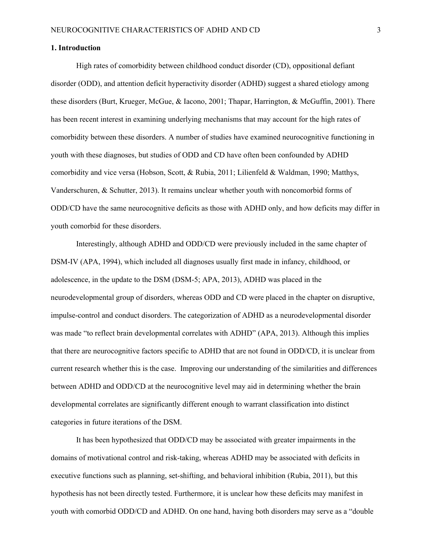#### **1. Introduction**

High rates of comorbidity between childhood conduct disorder (CD), oppositional defiant disorder (ODD), and attention deficit hyperactivity disorder (ADHD) suggest a shared etiology among these disorders (Burt, Krueger, McGue, & Iacono, 2001; Thapar, Harrington, & McGuffin, 2001). There has been recent interest in examining underlying mechanisms that may account for the high rates of comorbidity between these disorders. A number of studies have examined neurocognitive functioning in youth with these diagnoses, but studies of ODD and CD have often been confounded by ADHD comorbidity and vice versa (Hobson, Scott, & Rubia, 2011; Lilienfeld & Waldman, 1990; Matthys, Vanderschuren, & Schutter, 2013). It remains unclear whether youth with noncomorbid forms of ODD/CD have the same neurocognitive deficits as those with ADHD only, and how deficits may differ in youth comorbid for these disorders.

Interestingly, although ADHD and ODD/CD were previously included in the same chapter of DSM-IV (APA, 1994), which included all diagnoses usually first made in infancy, childhood, or adolescence, in the update to the DSM (DSM-5; APA, 2013), ADHD was placed in the neurodevelopmental group of disorders, whereas ODD and CD were placed in the chapter on disruptive, impulse-control and conduct disorders. The categorization of ADHD as a neurodevelopmental disorder was made "to reflect brain developmental correlates with ADHD" (APA, 2013). Although this implies that there are neurocognitive factors specific to ADHD that are not found in ODD/CD, it is unclear from current research whether this is the case. Improving our understanding of the similarities and differences between ADHD and ODD/CD at the neurocognitive level may aid in determining whether the brain developmental correlates are significantly different enough to warrant classification into distinct categories in future iterations of the DSM.

It has been hypothesized that ODD/CD may be associated with greater impairments in the domains of motivational control and risk-taking, whereas ADHD may be associated with deficits in executive functions such as planning, set-shifting, and behavioral inhibition (Rubia, 2011), but this hypothesis has not been directly tested. Furthermore, it is unclear how these deficits may manifest in youth with comorbid ODD/CD and ADHD. On one hand, having both disorders may serve as a "double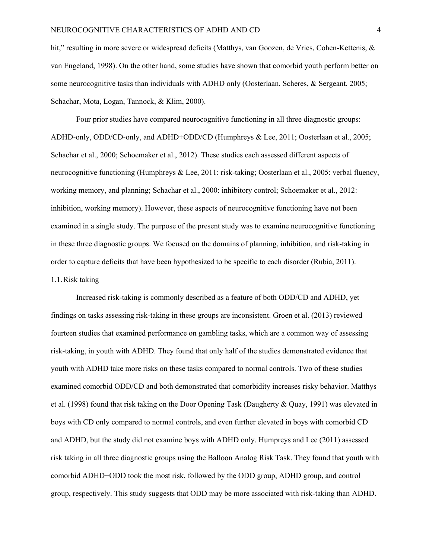hit," resulting in more severe or widespread deficits (Matthys, van Goozen, de Vries, Cohen-Kettenis, & van Engeland, 1998). On the other hand, some studies have shown that comorbid youth perform better on some neurocognitive tasks than individuals with ADHD only (Oosterlaan, Scheres, & Sergeant, 2005; Schachar, Mota, Logan, Tannock, & Klim, 2000).

Four prior studies have compared neurocognitive functioning in all three diagnostic groups: ADHD-only, ODD/CD-only, and ADHD+ODD/CD (Humphreys & Lee, 2011; Oosterlaan et al., 2005; Schachar et al., 2000; Schoemaker et al., 2012). These studies each assessed different aspects of neurocognitive functioning (Humphreys & Lee, 2011: risk-taking; Oosterlaan et al., 2005: verbal fluency, working memory, and planning; Schachar et al., 2000: inhibitory control; Schoemaker et al., 2012: inhibition, working memory). However, these aspects of neurocognitive functioning have not been examined in a single study. The purpose of the present study was to examine neurocognitive functioning in these three diagnostic groups. We focused on the domains of planning, inhibition, and risk-taking in order to capture deficits that have been hypothesized to be specific to each disorder (Rubia, 2011). 1.1.Risk taking

Increased risk-taking is commonly described as a feature of both ODD/CD and ADHD, yet findings on tasks assessing risk-taking in these groups are inconsistent. Groen et al. (2013) reviewed fourteen studies that examined performance on gambling tasks, which are a common way of assessing risk-taking, in youth with ADHD. They found that only half of the studies demonstrated evidence that youth with ADHD take more risks on these tasks compared to normal controls. Two of these studies examined comorbid ODD/CD and both demonstrated that comorbidity increases risky behavior. Matthys et al. (1998) found that risk taking on the Door Opening Task (Daugherty & Quay, 1991) was elevated in boys with CD only compared to normal controls, and even further elevated in boys with comorbid CD and ADHD, but the study did not examine boys with ADHD only. Humpreys and Lee (2011) assessed risk taking in all three diagnostic groups using the Balloon Analog Risk Task. They found that youth with comorbid ADHD+ODD took the most risk, followed by the ODD group, ADHD group, and control group, respectively. This study suggests that ODD may be more associated with risk-taking than ADHD.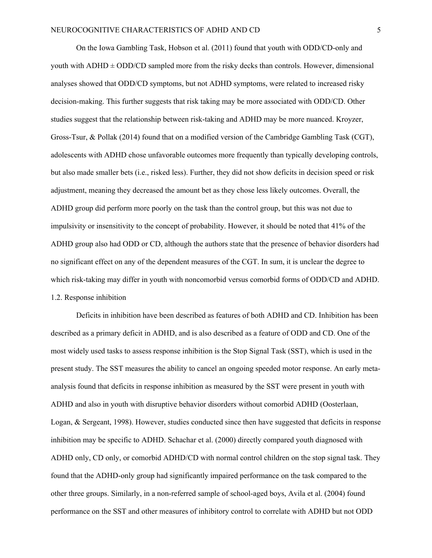On the Iowa Gambling Task, Hobson et al. (2011) found that youth with ODD/CD-only and youth with  $ADHD \pm ODD/CD$  sampled more from the risky decks than controls. However, dimensional analyses showed that ODD/CD symptoms, but not ADHD symptoms, were related to increased risky decision-making. This further suggests that risk taking may be more associated with ODD/CD. Other studies suggest that the relationship between risk-taking and ADHD may be more nuanced. Kroyzer, Gross-Tsur, & Pollak (2014) found that on a modified version of the Cambridge Gambling Task (CGT), adolescents with ADHD chose unfavorable outcomes more frequently than typically developing controls, but also made smaller bets (i.e., risked less). Further, they did not show deficits in decision speed or risk adjustment, meaning they decreased the amount bet as they chose less likely outcomes. Overall, the ADHD group did perform more poorly on the task than the control group, but this was not due to impulsivity or insensitivity to the concept of probability. However, it should be noted that 41% of the ADHD group also had ODD or CD, although the authors state that the presence of behavior disorders had no significant effect on any of the dependent measures of the CGT. In sum, it is unclear the degree to which risk-taking may differ in youth with noncomorbid versus comorbid forms of ODD/CD and ADHD. 1.2. Response inhibition

Deficits in inhibition have been described as features of both ADHD and CD. Inhibition has been described as a primary deficit in ADHD, and is also described as a feature of ODD and CD. One of the most widely used tasks to assess response inhibition is the Stop Signal Task (SST), which is used in the present study. The SST measures the ability to cancel an ongoing speeded motor response. An early metaanalysis found that deficits in response inhibition as measured by the SST were present in youth with ADHD and also in youth with disruptive behavior disorders without comorbid ADHD (Oosterlaan, Logan, & Sergeant, 1998). However, studies conducted since then have suggested that deficits in response inhibition may be specific to ADHD. Schachar et al. (2000) directly compared youth diagnosed with ADHD only, CD only, or comorbid ADHD/CD with normal control children on the stop signal task. They found that the ADHD-only group had significantly impaired performance on the task compared to the other three groups. Similarly, in a non-referred sample of school-aged boys, Avila et al. (2004) found performance on the SST and other measures of inhibitory control to correlate with ADHD but not ODD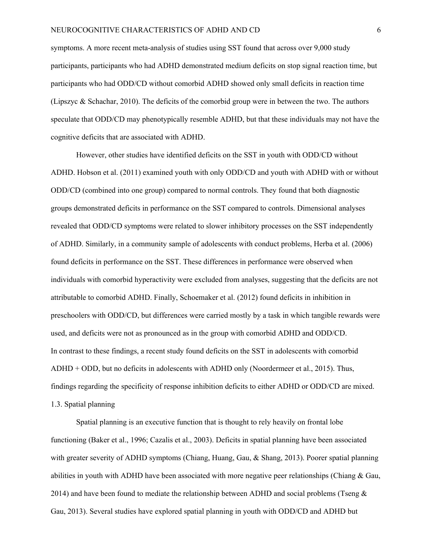symptoms. A more recent meta-analysis of studies using SST found that across over 9,000 study participants, participants who had ADHD demonstrated medium deficits on stop signal reaction time, but participants who had ODD/CD without comorbid ADHD showed only small deficits in reaction time (Lipszyc & Schachar, 2010). The deficits of the comorbid group were in between the two. The authors speculate that ODD/CD may phenotypically resemble ADHD, but that these individuals may not have the cognitive deficits that are associated with ADHD.

However, other studies have identified deficits on the SST in youth with ODD/CD without ADHD. Hobson et al. (2011) examined youth with only ODD/CD and youth with ADHD with or without ODD/CD (combined into one group) compared to normal controls. They found that both diagnostic groups demonstrated deficits in performance on the SST compared to controls. Dimensional analyses revealed that ODD/CD symptoms were related to slower inhibitory processes on the SST independently of ADHD. Similarly, in a community sample of adolescents with conduct problems, Herba et al. (2006) found deficits in performance on the SST. These differences in performance were observed when individuals with comorbid hyperactivity were excluded from analyses, suggesting that the deficits are not attributable to comorbid ADHD. Finally, Schoemaker et al. (2012) found deficits in inhibition in preschoolers with ODD/CD, but differences were carried mostly by a task in which tangible rewards were used, and deficits were not as pronounced as in the group with comorbid ADHD and ODD/CD. In contrast to these findings, a recent study found deficits on the SST in adolescents with comorbid ADHD + ODD, but no deficits in adolescents with ADHD only (Noordermeer et al., 2015). Thus, findings regarding the specificity of response inhibition deficits to either ADHD or ODD/CD are mixed. 1.3. Spatial planning

Spatial planning is an executive function that is thought to rely heavily on frontal lobe functioning (Baker et al., 1996; Cazalis et al., 2003). Deficits in spatial planning have been associated with greater severity of ADHD symptoms (Chiang, Huang, Gau, & Shang, 2013). Poorer spatial planning abilities in youth with ADHD have been associated with more negative peer relationships (Chiang & Gau, 2014) and have been found to mediate the relationship between ADHD and social problems (Tseng  $\&$ Gau, 2013). Several studies have explored spatial planning in youth with ODD/CD and ADHD but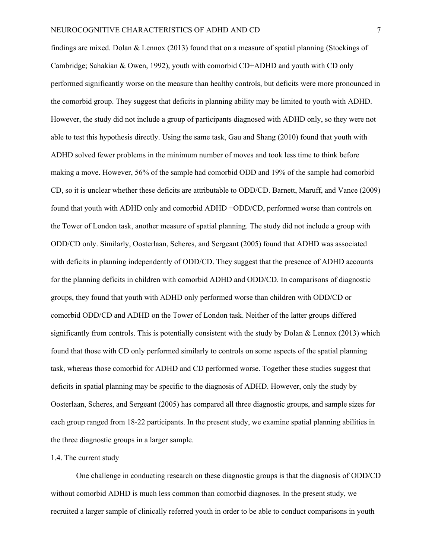findings are mixed. Dolan & Lennox (2013) found that on a measure of spatial planning (Stockings of Cambridge; Sahakian & Owen, 1992), youth with comorbid CD+ADHD and youth with CD only performed significantly worse on the measure than healthy controls, but deficits were more pronounced in the comorbid group. They suggest that deficits in planning ability may be limited to youth with ADHD. However, the study did not include a group of participants diagnosed with ADHD only, so they were not able to test this hypothesis directly. Using the same task, Gau and Shang (2010) found that youth with ADHD solved fewer problems in the minimum number of moves and took less time to think before making a move. However, 56% of the sample had comorbid ODD and 19% of the sample had comorbid CD, so it is unclear whether these deficits are attributable to ODD/CD. Barnett, Maruff, and Vance (2009) found that youth with ADHD only and comorbid ADHD +ODD/CD, performed worse than controls on the Tower of London task, another measure of spatial planning. The study did not include a group with ODD/CD only. Similarly, Oosterlaan, Scheres, and Sergeant (2005) found that ADHD was associated with deficits in planning independently of ODD/CD. They suggest that the presence of ADHD accounts for the planning deficits in children with comorbid ADHD and ODD/CD. In comparisons of diagnostic groups, they found that youth with ADHD only performed worse than children with ODD/CD or comorbid ODD/CD and ADHD on the Tower of London task. Neither of the latter groups differed significantly from controls. This is potentially consistent with the study by Dolan & Lennox (2013) which found that those with CD only performed similarly to controls on some aspects of the spatial planning task, whereas those comorbid for ADHD and CD performed worse. Together these studies suggest that deficits in spatial planning may be specific to the diagnosis of ADHD. However, only the study by Oosterlaan, Scheres, and Sergeant (2005) has compared all three diagnostic groups, and sample sizes for each group ranged from 18-22 participants. In the present study, we examine spatial planning abilities in the three diagnostic groups in a larger sample.

#### 1.4. The current study

One challenge in conducting research on these diagnostic groups is that the diagnosis of ODD/CD without comorbid ADHD is much less common than comorbid diagnoses. In the present study, we recruited a larger sample of clinically referred youth in order to be able to conduct comparisons in youth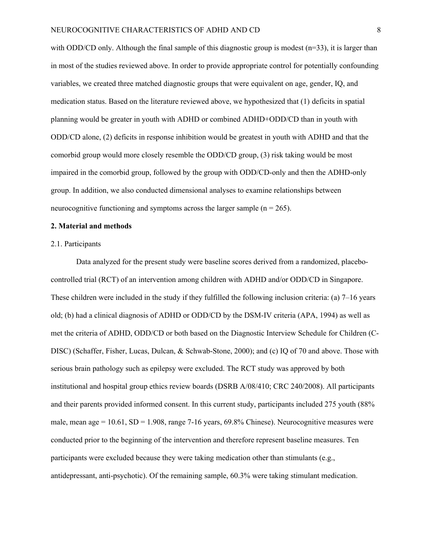with ODD/CD only. Although the final sample of this diagnostic group is modest  $(n=33)$ , it is larger than in most of the studies reviewed above. In order to provide appropriate control for potentially confounding variables, we created three matched diagnostic groups that were equivalent on age, gender, IQ, and medication status. Based on the literature reviewed above, we hypothesized that (1) deficits in spatial planning would be greater in youth with ADHD or combined ADHD+ODD/CD than in youth with ODD/CD alone, (2) deficits in response inhibition would be greatest in youth with ADHD and that the comorbid group would more closely resemble the ODD/CD group, (3) risk taking would be most impaired in the comorbid group, followed by the group with ODD/CD-only and then the ADHD-only group. In addition, we also conducted dimensional analyses to examine relationships between neurocognitive functioning and symptoms across the larger sample  $(n = 265)$ .

#### **2. Material and methods**

#### 2.1. Participants

Data analyzed for the present study were baseline scores derived from a randomized, placebocontrolled trial (RCT) of an intervention among children with ADHD and/or ODD/CD in Singapore. These children were included in the study if they fulfilled the following inclusion criteria: (a) 7–16 years old; (b) had a clinical diagnosis of ADHD or ODD/CD by the DSM-IV criteria (APA, 1994) as well as met the criteria of ADHD, ODD/CD or both based on the Diagnostic Interview Schedule for Children (C-DISC) (Schaffer, Fisher, Lucas, Dulcan, & Schwab-Stone, 2000); and (c) IQ of 70 and above. Those with serious brain pathology such as epilepsy were excluded. The RCT study was approved by both institutional and hospital group ethics review boards (DSRB A/08/410; CRC 240/2008). All participants and their parents provided informed consent. In this current study, participants included 275 youth (88% male, mean age  $= 10.61$ , SD  $= 1.908$ , range 7-16 years, 69.8% Chinese). Neurocognitive measures were conducted prior to the beginning of the intervention and therefore represent baseline measures. Ten participants were excluded because they were taking medication other than stimulants (e.g., antidepressant, anti-psychotic). Of the remaining sample, 60.3% were taking stimulant medication.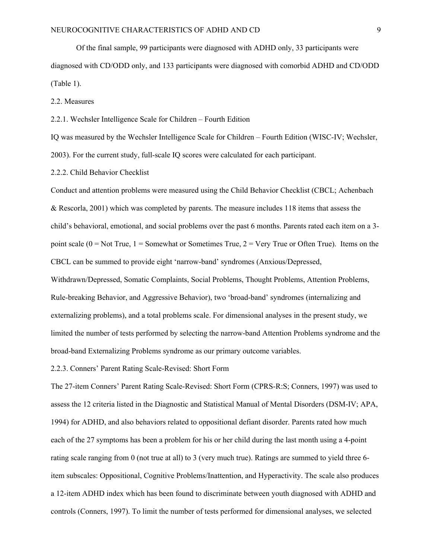Of the final sample, 99 participants were diagnosed with ADHD only, 33 participants were diagnosed with CD/ODD only, and 133 participants were diagnosed with comorbid ADHD and CD/ODD (Table 1).

2.2. Measures

2.2.1. Wechsler Intelligence Scale for Children – Fourth Edition

IQ was measured by the Wechsler Intelligence Scale for Children – Fourth Edition (WISC-IV; Wechsler, 2003). For the current study, full-scale IQ scores were calculated for each participant.

2.2.2. Child Behavior Checklist

Conduct and attention problems were measured using the Child Behavior Checklist (CBCL; Achenbach & Rescorla, 2001) which was completed by parents. The measure includes 118 items that assess the child's behavioral, emotional, and social problems over the past 6 months. Parents rated each item on a 3 point scale ( $0 = Not True$ ,  $1 = Somewhat$  or Sometimes True,  $2 = Very True$  or Often True). Items on the CBCL can be summed to provide eight 'narrow-band' syndromes (Anxious/Depressed,

Withdrawn/Depressed, Somatic Complaints, Social Problems, Thought Problems, Attention Problems, Rule-breaking Behavior, and Aggressive Behavior), two 'broad-band' syndromes (internalizing and externalizing problems), and a total problems scale. For dimensional analyses in the present study, we limited the number of tests performed by selecting the narrow-band Attention Problems syndrome and the broad-band Externalizing Problems syndrome as our primary outcome variables.

2.2.3. Conners' Parent Rating Scale-Revised: Short Form

The 27-item Conners' Parent Rating Scale-Revised: Short Form (CPRS-R:S; Conners, 1997) was used to assess the 12 criteria listed in the Diagnostic and Statistical Manual of Mental Disorders (DSM-IV; APA, 1994) for ADHD, and also behaviors related to oppositional defiant disorder. Parents rated how much each of the 27 symptoms has been a problem for his or her child during the last month using a 4-point rating scale ranging from 0 (not true at all) to 3 (very much true). Ratings are summed to yield three 6 item subscales: Oppositional, Cognitive Problems/Inattention, and Hyperactivity. The scale also produces a 12-item ADHD index which has been found to discriminate between youth diagnosed with ADHD and controls (Conners, 1997). To limit the number of tests performed for dimensional analyses, we selected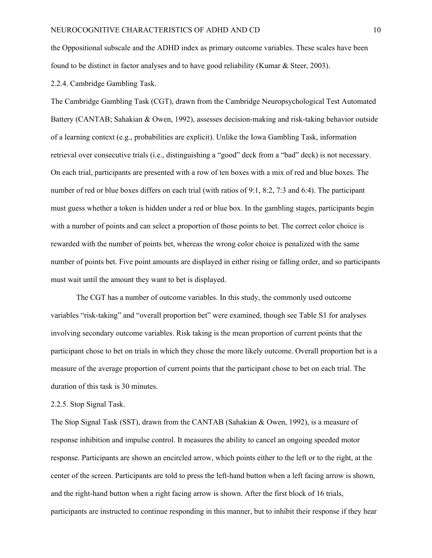the Oppositional subscale and the ADHD index as primary outcome variables. These scales have been found to be distinct in factor analyses and to have good reliability (Kumar & Steer, 2003).

2.2.4. Cambridge Gambling Task.

The Cambridge Gambling Task (CGT), drawn from the Cambridge Neuropsychological Test Automated Battery (CANTAB; Sahakian & Owen, 1992), assesses decision-making and risk-taking behavior outside of a learning context (e.g., probabilities are explicit). Unlike the Iowa Gambling Task, information retrieval over consecutive trials (i.e., distinguishing a "good" deck from a "bad" deck) is not necessary. On each trial, participants are presented with a row of ten boxes with a mix of red and blue boxes. The number of red or blue boxes differs on each trial (with ratios of 9:1, 8:2, 7:3 and 6:4). The participant must guess whether a token is hidden under a red or blue box. In the gambling stages, participants begin with a number of points and can select a proportion of those points to bet. The correct color choice is rewarded with the number of points bet, whereas the wrong color choice is penalized with the same number of points bet. Five point amounts are displayed in either rising or falling order, and so participants must wait until the amount they want to bet is displayed.

The CGT has a number of outcome variables. In this study, the commonly used outcome variables "risk-taking" and "overall proportion bet" were examined, though see Table S1 for analyses involving secondary outcome variables. Risk taking is the mean proportion of current points that the participant chose to bet on trials in which they chose the more likely outcome. Overall proportion bet is a measure of the average proportion of current points that the participant chose to bet on each trial. The duration of this task is 30 minutes.

#### 2.2.5. Stop Signal Task.

The Stop Signal Task (SST), drawn from the CANTAB (Sahakian & Owen, 1992), is a measure of response inhibition and impulse control. It measures the ability to cancel an ongoing speeded motor response. Participants are shown an encircled arrow, which points either to the left or to the right, at the center of the screen. Participants are told to press the left-hand button when a left facing arrow is shown, and the right-hand button when a right facing arrow is shown. After the first block of 16 trials, participants are instructed to continue responding in this manner, but to inhibit their response if they hear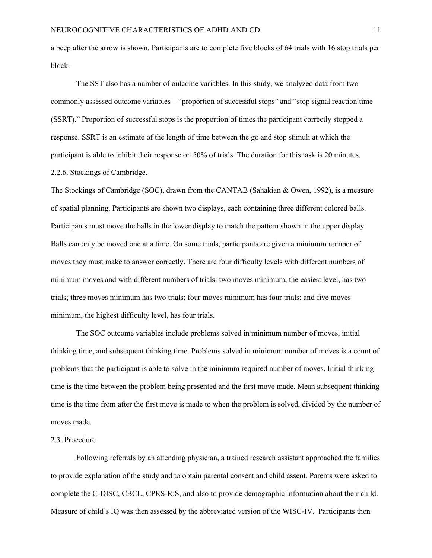a beep after the arrow is shown. Participants are to complete five blocks of 64 trials with 16 stop trials per block.

The SST also has a number of outcome variables. In this study, we analyzed data from two commonly assessed outcome variables – "proportion of successful stops" and "stop signal reaction time (SSRT)." Proportion of successful stops is the proportion of times the participant correctly stopped a response. SSRT is an estimate of the length of time between the go and stop stimuli at which the participant is able to inhibit their response on 50% of trials. The duration for this task is 20 minutes. 2.2.6. Stockings of Cambridge.

The Stockings of Cambridge (SOC), drawn from the CANTAB (Sahakian & Owen, 1992), is a measure of spatial planning. Participants are shown two displays, each containing three different colored balls. Participants must move the balls in the lower display to match the pattern shown in the upper display. Balls can only be moved one at a time. On some trials, participants are given a minimum number of moves they must make to answer correctly. There are four difficulty levels with different numbers of minimum moves and with different numbers of trials: two moves minimum, the easiest level, has two trials; three moves minimum has two trials; four moves minimum has four trials; and five moves minimum, the highest difficulty level, has four trials.

The SOC outcome variables include problems solved in minimum number of moves, initial thinking time, and subsequent thinking time. Problems solved in minimum number of moves is a count of problems that the participant is able to solve in the minimum required number of moves. Initial thinking time is the time between the problem being presented and the first move made. Mean subsequent thinking time is the time from after the first move is made to when the problem is solved, divided by the number of moves made.

#### 2.3. Procedure

Following referrals by an attending physician, a trained research assistant approached the families to provide explanation of the study and to obtain parental consent and child assent. Parents were asked to complete the C-DISC, CBCL, CPRS-R:S, and also to provide demographic information about their child. Measure of child's IQ was then assessed by the abbreviated version of the WISC-IV. Participants then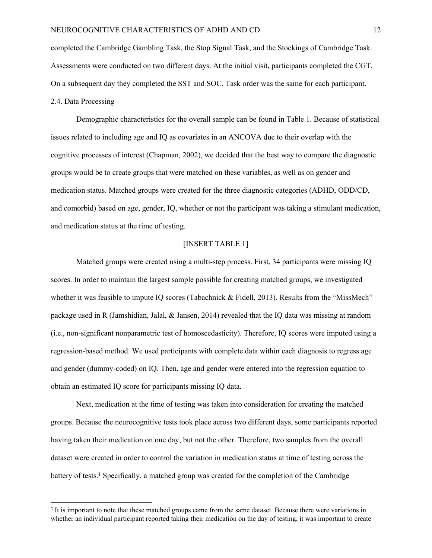completed the Cambridge Gambling Task, the Stop Signal Task, and the Stockings of Cambridge Task. Assessments were conducted on two different days. At the initial visit, participants completed the CGT. On a subsequent day they completed the SST and SOC. Task order was the same for each participant. 2.4. Data Processing

Demographic characteristics for the overall sample can be found in Table 1. Because of statistical issues related to including age and IQ as covariates in an ANCOVA due to their overlap with the cognitive processes of interest (Chapman, 2002), we decided that the best way to compare the diagnostic groups would be to create groups that were matched on these variables, as well as on gender and medication status. Matched groups were created for the three diagnostic categories (ADHD, ODD/CD, and comorbid) based on age, gender, IQ, whether or not the participant was taking a stimulant medication, and medication status at the time of testing.

#### [INSERT TABLE 1]

Matched groups were created using a multi-step process. First, 34 participants were missing IQ scores. In order to maintain the largest sample possible for creating matched groups, we investigated whether it was feasible to impute IQ scores (Tabachnick & Fidell, 2013). Results from the "MissMech" package used in R (Jamshidian, Jalal, & Jansen, 2014) revealed that the IQ data was missing at random (i.e., non-significant nonparametric test of homoscedasticity). Therefore, IQ scores were imputed using a regression-based method. We used participants with complete data within each diagnosis to regress age and gender (dummy-coded) on IQ. Then, age and gender were entered into the regression equation to obtain an estimated IQ score for participants missing IQ data.

Next, medication at the time of testing was taken into consideration for creating the matched groups. Because the neurocognitive tests took place across two different days, some participants reported having taken their medication on one day, but not the other. Therefore, two samples from the overall dataset were created in order to control the variation in medication status at time of testing across the battery of tests.<sup>1</sup> Specifically, a matched group was created for the completion of the Cambridge

<sup>&</sup>lt;sup>1</sup> It is important to note that these matched groups came from the same dataset. Because there were variations in whether an individual participant reported taking their medication on the day of testing, it was important to create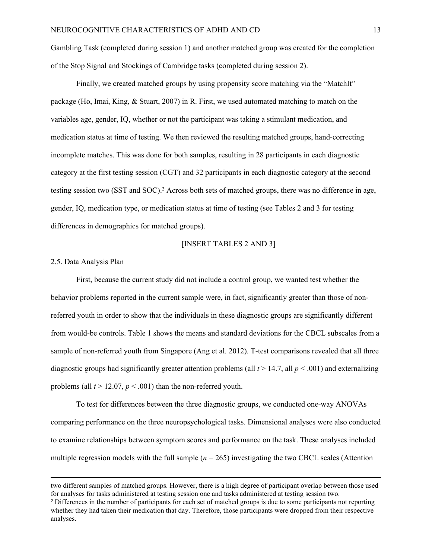Gambling Task (completed during session 1) and another matched group was created for the completion of the Stop Signal and Stockings of Cambridge tasks (completed during session 2).

Finally, we created matched groups by using propensity score matching via the "MatchIt" package (Ho, Imai, King, & Stuart, 2007) in R. First, we used automated matching to match on the variables age, gender, IQ, whether or not the participant was taking a stimulant medication, and medication status at time of testing. We then reviewed the resulting matched groups, hand-correcting incomplete matches. This was done for both samples, resulting in 28 participants in each diagnostic category at the first testing session (CGT) and 32 participants in each diagnostic category at the second testing session two (SST and SOC).<sup>2</sup> Across both sets of matched groups, there was no difference in age, gender, IQ, medication type, or medication status at time of testing (see Tables 2 and 3 for testing differences in demographics for matched groups).

#### [INSERT TABLES 2 AND 3]

#### 2.5. Data Analysis Plan

First, because the current study did not include a control group, we wanted test whether the behavior problems reported in the current sample were, in fact, significantly greater than those of nonreferred youth in order to show that the individuals in these diagnostic groups are significantly different from would-be controls. Table 1 shows the means and standard deviations for the CBCL subscales from a sample of non-referred youth from Singapore (Ang et al. 2012). T-test comparisons revealed that all three diagnostic groups had significantly greater attention problems (all  $t > 14.7$ , all  $p < .001$ ) and externalizing problems (all  $t > 12.07$ ,  $p < .001$ ) than the non-referred youth.

To test for differences between the three diagnostic groups, we conducted one-way ANOVAs comparing performance on the three neuropsychological tasks. Dimensional analyses were also conducted to examine relationships between symptom scores and performance on the task. These analyses included multiple regression models with the full sample  $(n = 265)$  investigating the two CBCL scales (Attention

two different samples of matched groups. However, there is a high degree of participant overlap between those used for analyses for tasks administered at testing session one and tasks administered at testing session two.

<sup>2</sup> Differences in the number of participants for each set of matched groups is due to some participants not reporting whether they had taken their medication that day. Therefore, those participants were dropped from their respective analyses.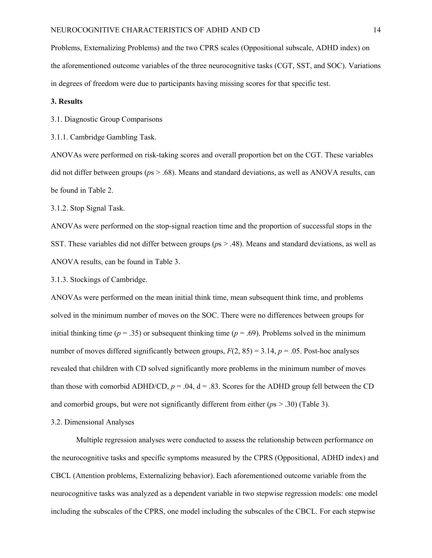Problems, Externalizing Problems) and the two CPRS scales (Oppositional subscale, ADHD index) on the aforementioned outcome variables of the three neurocognitive tasks (CGT, SST, and SOC). Variations in degrees of freedom were due to participants having missing scores for that specific test.

#### **3. Results**

3.1. Diagnostic Group Comparisons

3.1.1. Cambridge Gambling Task.

ANOVAs were performed on risk-taking scores and overall proportion bet on the CGT. These variables did not differ between groups (*p*s > .68). Means and standard deviations, as well as ANOVA results, can be found in Table 2.

3.1.2. Stop Signal Task.

ANOVAs were performed on the stop-signal reaction time and the proportion of successful stops in the SST. These variables did not differ between groups (*p*s > .48). Means and standard deviations, as well as ANOVA results, can be found in Table 3.

3.1.3. Stockings of Cambridge.

ANOVAs were performed on the mean initial think time, mean subsequent think time, and problems solved in the minimum number of moves on the SOC. There were no differences between groups for initial thinking time ( $p = .35$ ) or subsequent thinking time ( $p = .69$ ). Problems solved in the minimum number of moves differed significantly between groups,  $F(2, 85) = 3.14$ ,  $p = .05$ . Post-hoc analyses revealed that children with CD solved significantly more problems in the minimum number of moves than those with comorbid ADHD/CD,  $p = .04$ ,  $d = .83$ . Scores for the ADHD group fell between the CD and comorbid groups, but were not significantly different from either (*p*s > .30) (Table 3).

#### 3.2. Dimensional Analyses

Multiple regression analyses were conducted to assess the relationship between performance on the neurocognitive tasks and specific symptoms measured by the CPRS (Oppositional, ADHD index) and CBCL (Attention problems, Externalizing behavior). Each aforementioned outcome variable from the neurocognitive tasks was analyzed as a dependent variable in two stepwise regression models: one model including the subscales of the CPRS, one model including the subscales of the CBCL. For each stepwise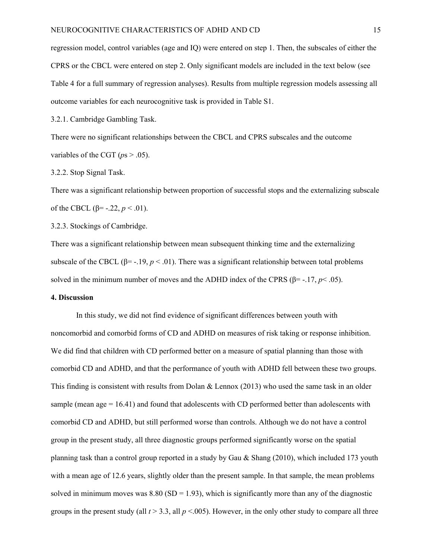regression model, control variables (age and IQ) were entered on step 1. Then, the subscales of either the CPRS or the CBCL were entered on step 2. Only significant models are included in the text below (see Table 4 for a full summary of regression analyses). Results from multiple regression models assessing all outcome variables for each neurocognitive task is provided in Table S1.

3.2.1. Cambridge Gambling Task.

There were no significant relationships between the CBCL and CPRS subscales and the outcome variables of the CGT ( $ps > .05$ ).

#### 3.2.2. Stop Signal Task.

There was a significant relationship between proportion of successful stops and the externalizing subscale of the CBCL (β= -.22,  $p < .01$ ).

3.2.3. Stockings of Cambridge.

There was a significant relationship between mean subsequent thinking time and the externalizing subscale of the CBCL ( $\beta$ = -.19, *p* < .01). There was a significant relationship between total problems solved in the minimum number of moves and the ADHD index of the CPRS ( $\beta$ = -.17, *p*< .05).

#### **4. Discussion**

In this study, we did not find evidence of significant differences between youth with noncomorbid and comorbid forms of CD and ADHD on measures of risk taking or response inhibition. We did find that children with CD performed better on a measure of spatial planning than those with comorbid CD and ADHD, and that the performance of youth with ADHD fell between these two groups. This finding is consistent with results from Dolan  $\&$  Lennox (2013) who used the same task in an older sample (mean age  $= 16.41$ ) and found that adolescents with CD performed better than adolescents with comorbid CD and ADHD, but still performed worse than controls. Although we do not have a control group in the present study, all three diagnostic groups performed significantly worse on the spatial planning task than a control group reported in a study by Gau & Shang (2010), which included 173 youth with a mean age of 12.6 years, slightly older than the present sample. In that sample, the mean problems solved in minimum moves was  $8.80$  (SD = 1.93), which is significantly more than any of the diagnostic groups in the present study (all  $t > 3.3$ , all  $p < .005$ ). However, in the only other study to compare all three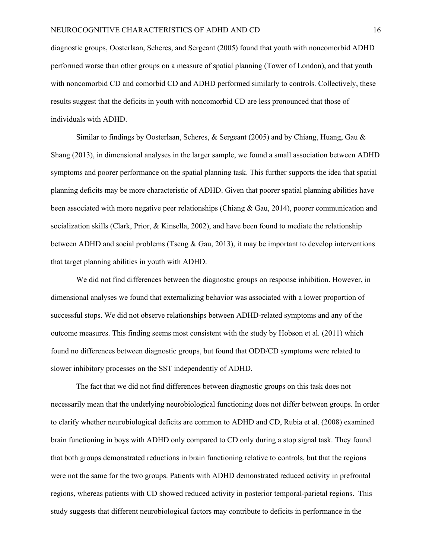diagnostic groups, Oosterlaan, Scheres, and Sergeant (2005) found that youth with noncomorbid ADHD performed worse than other groups on a measure of spatial planning (Tower of London), and that youth with noncomorbid CD and comorbid CD and ADHD performed similarly to controls. Collectively, these results suggest that the deficits in youth with noncomorbid CD are less pronounced that those of individuals with ADHD.

Similar to findings by Oosterlaan, Scheres,  $\&$  Sergeant (2005) and by Chiang, Huang, Gau  $\&$ Shang (2013), in dimensional analyses in the larger sample, we found a small association between ADHD symptoms and poorer performance on the spatial planning task. This further supports the idea that spatial planning deficits may be more characteristic of ADHD. Given that poorer spatial planning abilities have been associated with more negative peer relationships (Chiang & Gau, 2014), poorer communication and socialization skills (Clark, Prior, & Kinsella, 2002), and have been found to mediate the relationship between ADHD and social problems (Tseng & Gau, 2013), it may be important to develop interventions that target planning abilities in youth with ADHD.

We did not find differences between the diagnostic groups on response inhibition. However, in dimensional analyses we found that externalizing behavior was associated with a lower proportion of successful stops. We did not observe relationships between ADHD-related symptoms and any of the outcome measures. This finding seems most consistent with the study by Hobson et al. (2011) which found no differences between diagnostic groups, but found that ODD/CD symptoms were related to slower inhibitory processes on the SST independently of ADHD.

The fact that we did not find differences between diagnostic groups on this task does not necessarily mean that the underlying neurobiological functioning does not differ between groups. In order to clarify whether neurobiological deficits are common to ADHD and CD, Rubia et al. (2008) examined brain functioning in boys with ADHD only compared to CD only during a stop signal task. They found that both groups demonstrated reductions in brain functioning relative to controls, but that the regions were not the same for the two groups. Patients with ADHD demonstrated reduced activity in prefrontal regions, whereas patients with CD showed reduced activity in posterior temporal-parietal regions. This study suggests that different neurobiological factors may contribute to deficits in performance in the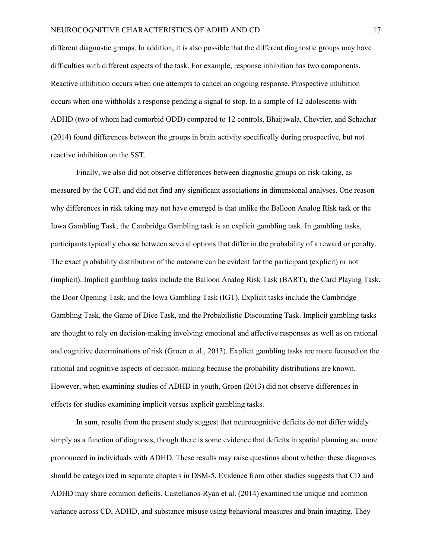different diagnostic groups. In addition, it is also possible that the different diagnostic groups may have difficulties with different aspects of the task. For example, response inhibition has two components. Reactive inhibition occurs when one attempts to cancel an ongoing response. Prospective inhibition occurs when one withholds a response pending a signal to stop. In a sample of 12 adolescents with ADHD (two of whom had comorbid ODD) compared to 12 controls, Bhaijiwala, Chevrier, and Schachar (2014) found differences between the groups in brain activity specifically during prospective, but not reactive inhibition on the SST.

Finally, we also did not observe differences between diagnostic groups on risk-taking, as measured by the CGT, and did not find any significant associations in dimensional analyses. One reason why differences in risk taking may not have emerged is that unlike the Balloon Analog Risk task or the Iowa Gambling Task, the Cambridge Gambling task is an explicit gambling task. In gambling tasks, participants typically choose between several options that differ in the probability of a reward or penalty. The exact probability distribution of the outcome can be evident for the participant (explicit) or not (implicit). Implicit gambling tasks include the Balloon Analog Risk Task (BART), the Card Playing Task, the Door Opening Task, and the Iowa Gambling Task (IGT). Explicit tasks include the Cambridge Gambling Task, the Game of Dice Task, and the Probabilistic Discounting Task. Implicit gambling tasks are thought to rely on decision-making involving emotional and affective responses as well as on rational and cognitive determinations of risk (Groen et al., 2013). Explicit gambling tasks are more focused on the rational and cognitive aspects of decision-making because the probability distributions are known. However, when examining studies of ADHD in youth, Groen (2013) did not observe differences in effects for studies examining implicit versus explicit gambling tasks.

In sum, results from the present study suggest that neurocognitive deficits do not differ widely simply as a function of diagnosis, though there is some evidence that deficits in spatial planning are more pronounced in individuals with ADHD. These results may raise questions about whether these diagnoses should be categorized in separate chapters in DSM-5. Evidence from other studies suggests that CD and ADHD may share common deficits. Castellanos-Ryan et al. (2014) examined the unique and common variance across CD, ADHD, and substance misuse using behavioral measures and brain imaging. They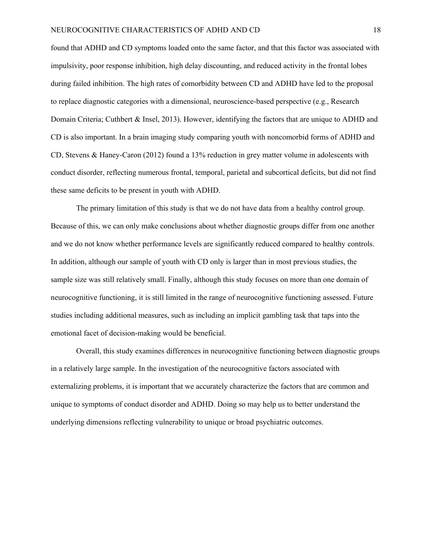found that ADHD and CD symptoms loaded onto the same factor, and that this factor was associated with impulsivity, poor response inhibition, high delay discounting, and reduced activity in the frontal lobes during failed inhibition. The high rates of comorbidity between CD and ADHD have led to the proposal to replace diagnostic categories with a dimensional, neuroscience-based perspective (e.g., Research Domain Criteria; Cuthbert & Insel, 2013). However, identifying the factors that are unique to ADHD and CD is also important. In a brain imaging study comparing youth with noncomorbid forms of ADHD and CD, Stevens & Haney-Caron (2012) found a 13% reduction in grey matter volume in adolescents with conduct disorder, reflecting numerous frontal, temporal, parietal and subcortical deficits, but did not find these same deficits to be present in youth with ADHD.

The primary limitation of this study is that we do not have data from a healthy control group. Because of this, we can only make conclusions about whether diagnostic groups differ from one another and we do not know whether performance levels are significantly reduced compared to healthy controls. In addition, although our sample of youth with CD only is larger than in most previous studies, the sample size was still relatively small. Finally, although this study focuses on more than one domain of neurocognitive functioning, it is still limited in the range of neurocognitive functioning assessed. Future studies including additional measures, such as including an implicit gambling task that taps into the emotional facet of decision-making would be beneficial.

Overall, this study examines differences in neurocognitive functioning between diagnostic groups in a relatively large sample. In the investigation of the neurocognitive factors associated with externalizing problems, it is important that we accurately characterize the factors that are common and unique to symptoms of conduct disorder and ADHD. Doing so may help us to better understand the underlying dimensions reflecting vulnerability to unique or broad psychiatric outcomes.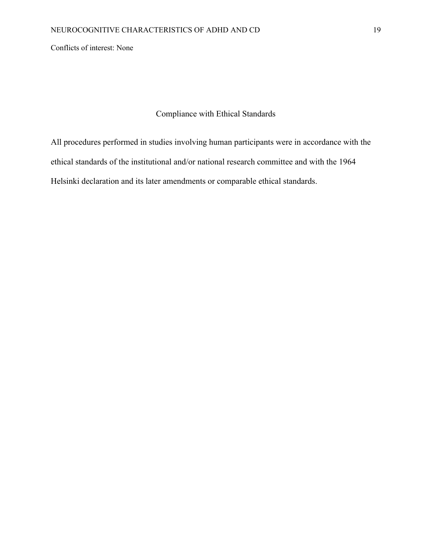Conflicts of interest: None

## Compliance with Ethical Standards

All procedures performed in studies involving human participants were in accordance with the ethical standards of the institutional and/or national research committee and with the 1964 Helsinki declaration and its later amendments or comparable ethical standards.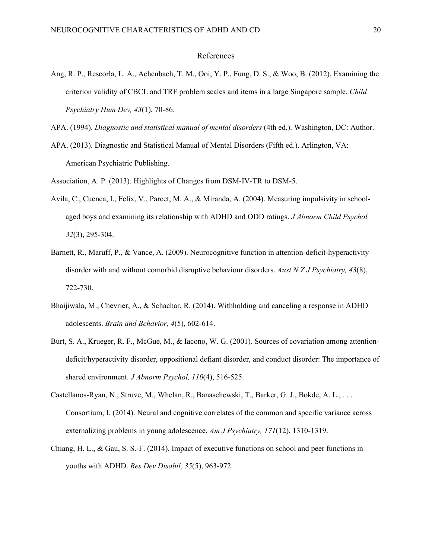#### References

- <span id="page-22-0"></span>Ang, R. P., Rescorla, L. A., Achenbach, T. M., Ooi, Y. P., Fung, D. S., & Woo, B. (2012). Examining the criterion validity of CBCL and TRF problem scales and items in a large Singapore sample. *Child Psychiatry Hum Dev, 43*(1), 70-86.
- APA. (1994). *Diagnostic and statistical manual of mental disorders* (4th ed.). Washington, DC: Author.
- APA. (2013). Diagnostic and Statistical Manual of Mental Disorders (Fifth ed.). Arlington, VA: American Psychiatric Publishing.
- Association, A. P. (2013). Highlights of Changes from DSM-IV-TR to DSM-5.
- Avila, C., Cuenca, I., Felix, V., Parcet, M. A., & Miranda, A. (2004). Measuring impulsivity in schoolaged boys and examining its relationship with ADHD and ODD ratings. *J Abnorm Child Psychol, 32*(3), 295-304.
- Barnett, R., Maruff, P., & Vance, A. (2009). Neurocognitive function in attention-deficit-hyperactivity disorder with and without comorbid disruptive behaviour disorders. *Aust N Z J Psychiatry, 43*(8), 722-730.
- Bhaijiwala, M., Chevrier, A., & Schachar, R. (2014). Withholding and canceling a response in ADHD adolescents. *Brain and Behavior, 4*(5), 602-614.
- Burt, S. A., Krueger, R. F., McGue, M., & Iacono, W. G. (2001). Sources of covariation among attentiondeficit/hyperactivity disorder, oppositional defiant disorder, and conduct disorder: The importance of shared environment. *J Abnorm Psychol, 110*(4), 516-525.
- Castellanos-Ryan, N., Struve, M., Whelan, R., Banaschewski, T., Barker, G. J., Bokde, A. L., . . . Consortium, I. (2014). Neural and cognitive correlates of the common and specific variance across externalizing problems in young adolescence. *Am J Psychiatry, 171*(12), 1310-1319.
- Chiang, H. L., & Gau, S. S.-F. (2014). Impact of executive functions on school and peer functions in youths with ADHD. *Res Dev Disabil, 35*(5), 963-972.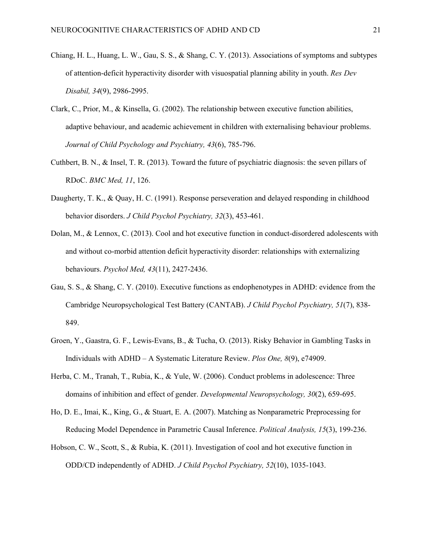- Chiang, H. L., Huang, L. W., Gau, S. S., & Shang, C. Y. (2013). Associations of symptoms and subtypes of attention-deficit hyperactivity disorder with visuospatial planning ability in youth. *Res Dev Disabil, 34*(9), 2986-2995.
- Clark, C., Prior, M., & Kinsella, G. (2002). The relationship between executive function abilities, adaptive behaviour, and academic achievement in children with externalising behaviour problems. *Journal of Child Psychology and Psychiatry, 43*(6), 785-796.
- Cuthbert, B. N., & Insel, T. R. (2013). Toward the future of psychiatric diagnosis: the seven pillars of RDoC. *BMC Med, 11*, 126.
- Daugherty, T. K., & Quay, H. C. (1991). Response perseveration and delayed responding in childhood behavior disorders. *J Child Psychol Psychiatry, 32*(3), 453-461.
- Dolan, M., & Lennox, C. (2013). Cool and hot executive function in conduct-disordered adolescents with and without co-morbid attention deficit hyperactivity disorder: relationships with externalizing behaviours. *Psychol Med, 43*(11), 2427-2436.
- Gau, S. S., & Shang, C. Y. (2010). Executive functions as endophenotypes in ADHD: evidence from the Cambridge Neuropsychological Test Battery (CANTAB). *J Child Psychol Psychiatry, 51*(7), 838- 849.
- Groen, Y., Gaastra, G. F., Lewis-Evans, B., & Tucha, O. (2013). Risky Behavior in Gambling Tasks in Individuals with ADHD – A Systematic Literature Review. *Plos One, 8*(9), e74909.
- Herba, C. M., Tranah, T., Rubia, K., & Yule, W. (2006). Conduct problems in adolescence: Three domains of inhibition and effect of gender. *Developmental Neuropsychology, 30*(2), 659-695.
- Ho, D. E., Imai, K., King, G., & Stuart, E. A. (2007). Matching as Nonparametric Preprocessing for Reducing Model Dependence in Parametric Causal Inference. *Political Analysis, 15*(3), 199-236.
- Hobson, C. W., Scott, S., & Rubia, K. (2011). Investigation of cool and hot executive function in ODD/CD independently of ADHD. *J Child Psychol Psychiatry, 52*(10), 1035-1043.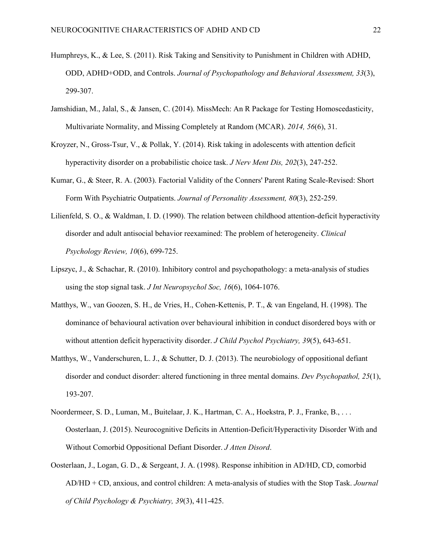- Humphreys, K., & Lee, S. (2011). Risk Taking and Sensitivity to Punishment in Children with ADHD, ODD, ADHD+ODD, and Controls. *Journal of Psychopathology and Behavioral Assessment, 33*(3), 299-307.
- Jamshidian, M., Jalal, S., & Jansen, C. (2014). MissMech: An R Package for Testing Homoscedasticity, Multivariate Normality, and Missing Completely at Random (MCAR). *2014, 56*(6), 31.
- Kroyzer, N., Gross-Tsur, V., & Pollak, Y. (2014). Risk taking in adolescents with attention deficit hyperactivity disorder on a probabilistic choice task. *J Nerv Ment Dis, 202*(3), 247-252.
- Kumar, G., & Steer, R. A. (2003). Factorial Validity of the Conners' Parent Rating Scale-Revised: Short Form With Psychiatric Outpatients. *Journal of Personality Assessment, 80*(3), 252-259.
- Lilienfeld, S. O., & Waldman, I. D. (1990). The relation between childhood attention-deficit hyperactivity disorder and adult antisocial behavior reexamined: The problem of heterogeneity. *Clinical Psychology Review, 10*(6), 699-725.
- Lipszyc, J., & Schachar, R. (2010). Inhibitory control and psychopathology: a meta-analysis of studies using the stop signal task. *J Int Neuropsychol Soc, 16*(6), 1064-1076.
- Matthys, W., van Goozen, S. H., de Vries, H., Cohen-Kettenis, P. T., & van Engeland, H. (1998). The dominance of behavioural activation over behavioural inhibition in conduct disordered boys with or without attention deficit hyperactivity disorder. *J Child Psychol Psychiatry, 39*(5), 643-651.
- Matthys, W., Vanderschuren, L. J., & Schutter, D. J. (2013). The neurobiology of oppositional defiant disorder and conduct disorder: altered functioning in three mental domains. *Dev Psychopathol, 25*(1), 193-207.
- Noordermeer, S. D., Luman, M., Buitelaar, J. K., Hartman, C. A., Hoekstra, P. J., Franke, B., . . . Oosterlaan, J. (2015). Neurocognitive Deficits in Attention-Deficit/Hyperactivity Disorder With and Without Comorbid Oppositional Defiant Disorder. *J Atten Disord*.
- Oosterlaan, J., Logan, G. D., & Sergeant, J. A. (1998). Response inhibition in AD/HD, CD, comorbid AD/HD + CD, anxious, and control children: A meta-analysis of studies with the Stop Task. *Journal of Child Psychology & Psychiatry, 39*(3), 411-425.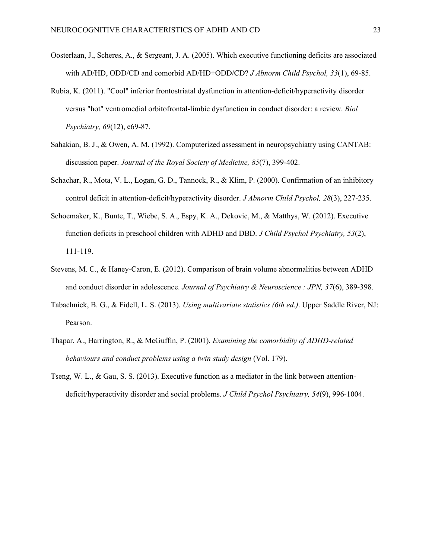- Oosterlaan, J., Scheres, A., & Sergeant, J. A. (2005). Which executive functioning deficits are associated with AD/HD, ODD/CD and comorbid AD/HD+ODD/CD? *J Abnorm Child Psychol, 33*(1), 69-85.
- Rubia, K. (2011). "Cool" inferior frontostriatal dysfunction in attention-deficit/hyperactivity disorder versus "hot" ventromedial orbitofrontal-limbic dysfunction in conduct disorder: a review. *Biol Psychiatry, 69*(12), e69-87.
- Sahakian, B. J., & Owen, A. M. (1992). Computerized assessment in neuropsychiatry using CANTAB: discussion paper. *Journal of the Royal Society of Medicine, 85*(7), 399-402.
- Schachar, R., Mota, V. L., Logan, G. D., Tannock, R., & Klim, P. (2000). Confirmation of an inhibitory control deficit in attention-deficit/hyperactivity disorder. *J Abnorm Child Psychol, 28*(3), 227-235.
- Schoemaker, K., Bunte, T., Wiebe, S. A., Espy, K. A., Dekovic, M., & Matthys, W. (2012). Executive function deficits in preschool children with ADHD and DBD. *J Child Psychol Psychiatry, 53*(2), 111-119.
- Stevens, M. C., & Haney-Caron, E. (2012). Comparison of brain volume abnormalities between ADHD and conduct disorder in adolescence. *Journal of Psychiatry & Neuroscience : JPN, 37*(6), 389-398.
- Tabachnick, B. G., & Fidell, L. S. (2013). *Using multivariate statistics (6th ed.)*. Upper Saddle River, NJ: Pearson.
- Thapar, A., Harrington, R., & McGuffin, P. (2001). *Examining the comorbidity of ADHD-related behaviours and conduct problems using a twin study design* (Vol. 179).
- Tseng, W. L., & Gau, S. S. (2013). Executive function as a mediator in the link between attentiondeficit/hyperactivity disorder and social problems. *J Child Psychol Psychiatry, 54*(9), 996-1004.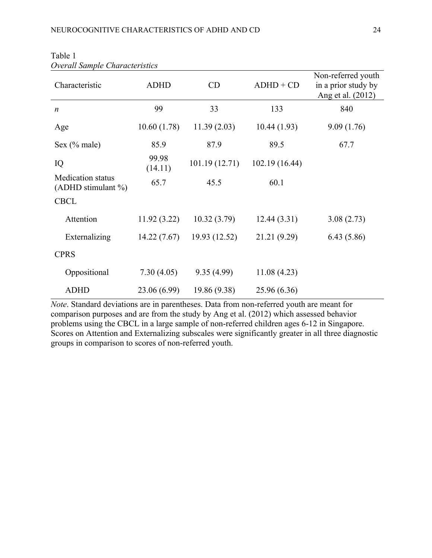| Characteristic                                     | <b>ADHD</b>      | CD            | $ADHD + CD$   | Non-referred youth<br>in a prior study by<br>Ang et al. (2012) |
|----------------------------------------------------|------------------|---------------|---------------|----------------------------------------------------------------|
| $\boldsymbol{n}$                                   | 99               | 33            | 133           | 840                                                            |
| Age                                                | 10.60(1.78)      | 11.39(2.03)   | 10.44(1.93)   | 9.09(1.76)                                                     |
| Sex $(\%$ male)                                    | 85.9             | 87.9          | 89.5          | 67.7                                                           |
| IQ                                                 | 99.98<br>(14.11) | 101.19(12.71) | 102.19(16.44) |                                                                |
| <b>Medication</b> status<br>(ADHD stimulant $\%$ ) | 65.7             | 45.5          | 60.1          |                                                                |
| <b>CBCL</b>                                        |                  |               |               |                                                                |
| Attention                                          | 11.92(3.22)      | 10.32(3.79)   | 12.44(3.31)   | 3.08(2.73)                                                     |
| Externalizing                                      | 14.22(7.67)      | 19.93 (12.52) | 21.21 (9.29)  | 6.43(5.86)                                                     |
| <b>CPRS</b>                                        |                  |               |               |                                                                |
| Oppositional                                       | 7.30(4.05)       | 9.35(4.99)    | 11.08(4.23)   |                                                                |
| <b>ADHD</b>                                        | 23.06 (6.99)     | 19.86 (9.38)  | 25.96 (6.36)  |                                                                |

| Table 1                        |  |
|--------------------------------|--|
| Overall Sample Characteristics |  |

*Note*. Standard deviations are in parentheses. Data from non-referred youth are meant for comparison purposes and are from the study by Ang et al. ([2012\)](#page-22-0) which assessed behavior problems using the CBCL in a large sample of non-referred children ages 6-12 in Singapore. Scores on Attention and Externalizing subscales were significantly greater in all three diagnostic groups in comparison to scores of non-referred youth.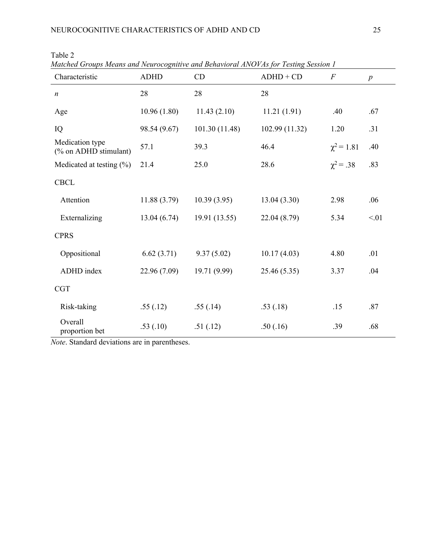| Characteristic                           | <b>ADHD</b>  | CD             | $ADHD + CD$    | $\overline{F}$  | $\boldsymbol{p}$ |
|------------------------------------------|--------------|----------------|----------------|-----------------|------------------|
| $\boldsymbol{n}$                         | 28           | 28             | 28             |                 |                  |
| Age                                      | 10.96(1.80)  | 11.43(2.10)    | 11.21(1.91)    | .40             | .67              |
| IQ                                       | 98.54 (9.67) | 101.30 (11.48) | 102.99 (11.32) | 1.20            | .31              |
| Medication type<br>(% on ADHD stimulant) | 57.1         | 39.3           | 46.4           | $\chi^2 = 1.81$ | .40              |
| Medicated at testing $(\% )$             | 21.4         | 25.0           | 28.6           | $\chi^2 = .38$  | .83              |
| <b>CBCL</b>                              |              |                |                |                 |                  |
| Attention                                | 11.88(3.79)  | 10.39(3.95)    | 13.04(3.30)    | 2.98            | .06              |
| Externalizing                            | 13.04(6.74)  | 19.91 (13.55)  | 22.04 (8.79)   | 5.34            | < 01             |
| <b>CPRS</b>                              |              |                |                |                 |                  |
| Oppositional                             | 6.62(3.71)   | 9.37(5.02)     | 10.17(4.03)    | 4.80            | .01              |
| ADHD index                               | 22.96 (7.09) | 19.71 (9.99)   | 25.46(5.35)    | 3.37            | .04              |
| CGT                                      |              |                |                |                 |                  |
| Risk-taking                              | .55(.12)     | .55(.14)       | .53(.18)       | .15             | .87              |
| Overall<br>proportion bet                | .53(.10)     | .51(.12)       | .50(.16)       | .39             | .68              |

Table 2

*Matched Groups Means and Neurocognitive and Behavioral ANOVAs for Testing Session 1*

*Note*. Standard deviations are in parentheses.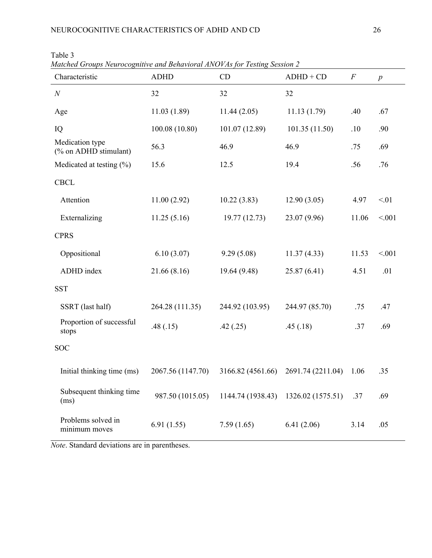| $m$ uchcu Oroups Tychrocognitive una Denavioral Arror As for Testing bession 2<br>Characteristic | <b>ADHD</b>       | CD                | $ADHD + CD$       | $\boldsymbol{F}$ | p      |
|--------------------------------------------------------------------------------------------------|-------------------|-------------------|-------------------|------------------|--------|
| $\cal N$                                                                                         | 32                | 32                | 32                |                  |        |
| Age                                                                                              | 11.03(1.89)       | 11.44(2.05)       | 11.13(1.79)       | .40              | .67    |
| IQ                                                                                               | 100.08 (10.80)    | 101.07 (12.89)    | 101.35(11.50)     | .10              | .90    |
| Medication type<br>(% on ADHD stimulant)                                                         | 56.3              | 46.9              | 46.9              | .75              | .69    |
| Medicated at testing $(\% )$                                                                     | 15.6              | 12.5              | 19.4              | .56              | .76    |
| <b>CBCL</b>                                                                                      |                   |                   |                   |                  |        |
| Attention                                                                                        | 11.00(2.92)       | 10.22(3.83)       | 12.90(3.05)       | 4.97             | < 01   |
| Externalizing                                                                                    | 11.25(5.16)       | 19.77(12.73)      | 23.07 (9.96)      | 11.06            | < 0.01 |
| <b>CPRS</b>                                                                                      |                   |                   |                   |                  |        |
| Oppositional                                                                                     | 6.10(3.07)        | 9.29(5.08)        | 11.37(4.33)       | 11.53            | < 0.01 |
| ADHD index                                                                                       | 21.66(8.16)       | 19.64 (9.48)      | 25.87(6.41)       | 4.51             | .01    |
| <b>SST</b>                                                                                       |                   |                   |                   |                  |        |
| SSRT (last half)                                                                                 | 264.28 (111.35)   | 244.92 (103.95)   | 244.97 (85.70)    | .75              | .47    |
| Proportion of successful<br>stops                                                                | .48(.15)          | .42(.25)          | .45(.18)          | .37              | .69    |
| <b>SOC</b>                                                                                       |                   |                   |                   |                  |        |
| Initial thinking time (ms)                                                                       | 2067.56 (1147.70) | 3166.82 (4561.66) | 2691.74 (2211.04) | 1.06             | .35    |
| Subsequent thinking time<br>(ms)                                                                 | 987.50 (1015.05)  | 1144.74 (1938.43) | 1326.02 (1575.51) | .37              | .69    |
| Problems solved in<br>minimum moves                                                              | 6.91(1.55)        | 7.59(1.65)        | 6.41(2.06)        | 3.14             | .05    |

Table 3

*Matched Groups Neurocognitive and Behavioral ANOVAs for Testing Session 2*

*Note*. Standard deviations are in parentheses.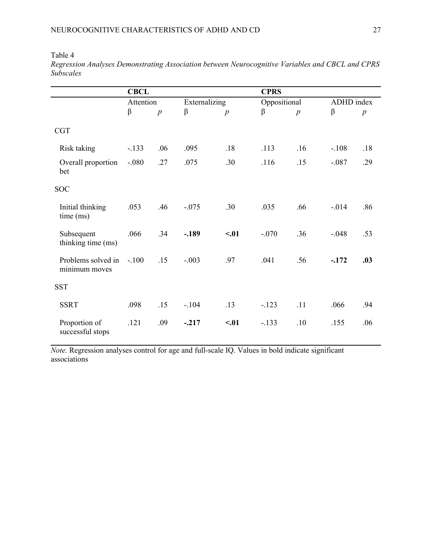Table 4

|                                     | <b>CBCL</b> |                  |               |                  | <b>CPRS</b>  |                  |            |                  |
|-------------------------------------|-------------|------------------|---------------|------------------|--------------|------------------|------------|------------------|
|                                     | Attention   |                  | Externalizing |                  | Oppositional |                  | ADHD index |                  |
|                                     | β           | $\boldsymbol{p}$ | $\beta$       | $\boldsymbol{p}$ | β            | $\boldsymbol{p}$ | β          | $\boldsymbol{p}$ |
| <b>CGT</b>                          |             |                  |               |                  |              |                  |            |                  |
| Risk taking                         | $-.133$     | .06              | .095          | .18              | .113         | .16              | $-.108$    | .18              |
| Overall proportion<br>bet           | $-.080$     | .27              | .075          | .30              | .116         | .15              | $-.087$    | .29              |
| <b>SOC</b>                          |             |                  |               |                  |              |                  |            |                  |
| Initial thinking<br>time (ms)       | .053        | .46              | $-.075$       | .30              | .035         | .66              | $-0.014$   | .86              |
| Subsequent<br>thinking time (ms)    | .066        | .34              | $-.189$       | < 01             | $-.070$      | .36              | $-.048$    | .53              |
| Problems solved in<br>minimum moves | $-.100$     | .15              | $-.003$       | .97              | .041         | .56              | $-.172$    | .03              |
| <b>SST</b>                          |             |                  |               |                  |              |                  |            |                  |
| <b>SSRT</b>                         | .098        | .15              | $-.104$       | .13              | $-123$       | .11              | .066       | .94              |
| Proportion of<br>successful stops   | .121        | .09              | $-.217$       | < 01             | $-.133$      | .10              | .155       | .06              |

*Regression Analyses Demonstrating Association between Neurocognitive Variables and CBCL and CPRS Subscales*

*Note.* Regression analyses control for age and full-scale IQ. Values in bold indicate significant associations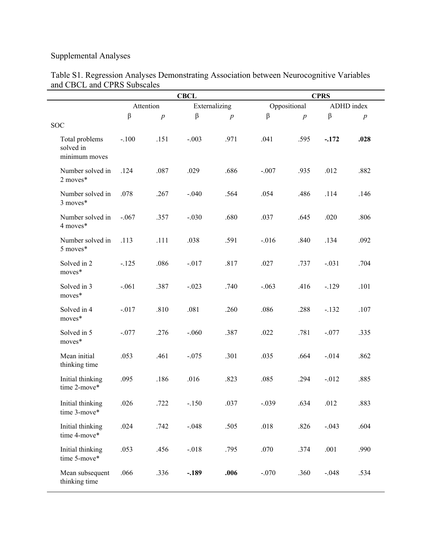# Supplemental Analyses

|          |                            |         |                  | <b>CPRS</b> |                  |                      |                  |
|----------|----------------------------|---------|------------------|-------------|------------------|----------------------|------------------|
|          | Attention<br>Externalizing |         |                  |             | ADHD index       |                      |                  |
| $\beta$  | $\boldsymbol{p}$           | $\beta$ | $\boldsymbol{p}$ | $\beta$     | $\boldsymbol{p}$ | $\boldsymbol{\beta}$ | $\boldsymbol{p}$ |
| $-.100$  | .151                       | $-.003$ | .971             | .041        | .595             | $-.172$              | .028             |
| .124     | .087                       | .029    | .686             | $-.007$     | .935             | .012                 | .882             |
| .078     | .267                       | $-.040$ | .564             | .054        | .486             | .114                 | .146             |
| $-.067$  | .357                       | $-.030$ | .680             | .037        | .645             | .020                 | .806             |
| .113     | .111                       | .038    | .591             | $-0.016$    | .840             | .134                 | .092             |
| $-125$   | .086                       | $-.017$ | .817             | .027        | .737             | $-.031$              | .704             |
| $-.061$  | .387                       | $-.023$ | .740             | $-.063$     | .416             | $-.129$              | .101             |
| $-0.017$ | .810                       | .081    | .260             | .086        | .288             | $-.132$              | .107             |
| $-.077$  | .276                       | $-.060$ | .387             | .022        | .781             | $-.077$              | .335             |
| .053     | .461                       | $-.075$ | .301             | .035        | .664             | $-0.014$             | .862             |
| .095     | .186                       | .016    | .823             | .085        | .294             | $-0.012$             | .885             |
| .026     | .722                       | $-.150$ | .037             | $-.039$     | .634             | .012                 | .883             |
| .024     | .742                       | $-.048$ | .505             | .018        | .826             | $-.043$              | .604             |
| .053     | .456                       | $-.018$ | .795             | .070        | .374             | .001                 | .990             |
| .066     | .336                       | $-.189$ | .006             | $-.070$     | .360             | $-.048$              | .534             |
|          |                            |         | <b>CBCL</b>      |             |                  | Oppositional         |                  |

#### Table S1. Regression Analyses Demonstrating Association between Neurocognitive Variables and CBCL and CPRS Subscales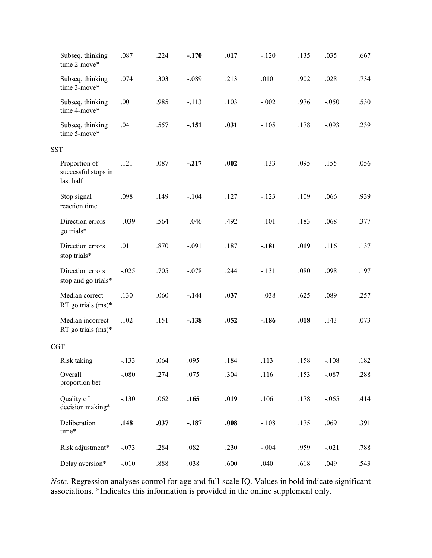| Subseq. thinking<br>time 2-move*                  | .087    | .224 | $-.170$ | .017 | $-.120$ | .135 | .035    | .667 |
|---------------------------------------------------|---------|------|---------|------|---------|------|---------|------|
| Subseq. thinking<br>time 3-move*                  | .074    | .303 | $-.089$ | .213 | .010    | .902 | .028    | .734 |
| Subseq. thinking<br>time 4-move*                  | .001    | .985 | $-.113$ | .103 | $-.002$ | .976 | $-.050$ | .530 |
| Subseq. thinking<br>time 5-move*                  | .041    | .557 | $-.151$ | .031 | $-.105$ | .178 | $-.093$ | .239 |
| <b>SST</b>                                        |         |      |         |      |         |      |         |      |
| Proportion of<br>successful stops in<br>last half | .121    | .087 | $-.217$ | .002 | $-.133$ | .095 | .155    | .056 |
| Stop signal<br>reaction time                      | .098    | .149 | $-.104$ | .127 | $-.123$ | .109 | .066    | .939 |
| Direction errors<br>go trials*                    | $-.039$ | .564 | $-.046$ | .492 | $-.101$ | .183 | .068    | .377 |
| Direction errors<br>stop trials*                  | .011    | .870 | $-.091$ | .187 | $-.181$ | .019 | .116    | .137 |
| Direction errors<br>stop and go trials*           | $-.025$ | .705 | $-.078$ | .244 | $-.131$ | .080 | .098    | .197 |
| Median correct<br>RT go trials $(ms)^*$           | .130    | .060 | $-.144$ | .037 | $-.038$ | .625 | .089    | .257 |
| Median incorrect<br>RT go trials $(ms)^*$         | .102    | .151 | $-.138$ | .052 | $-.186$ | .018 | .143    | .073 |
| <b>CGT</b>                                        |         |      |         |      |         |      |         |      |
| Risk taking                                       | $-.133$ | .064 | .095    | .184 | .113    | .158 | $-.108$ | .182 |
| Overall<br>proportion bet                         | $-.080$ | .274 | .075    | .304 | .116    | .153 | $-.087$ | .288 |
| Quality of<br>decision making*                    | $-.130$ | .062 | .165    | .019 | .106    | .178 | $-.065$ | .414 |
| Deliberation<br>time*                             | .148    | .037 | $-.187$ | .008 | $-.108$ | .175 | .069    | .391 |
| Risk adjustment*                                  | $-.073$ | .284 | .082    | .230 | $-.004$ | .959 | $-.021$ | .788 |
| Delay aversion*                                   | $-.010$ | .888 | .038    | .600 | .040    | .618 | .049    | .543 |

*Note.* Regression analyses control for age and full-scale IQ. Values in bold indicate significant associations. \*Indicates this information is provided in the online supplement only.